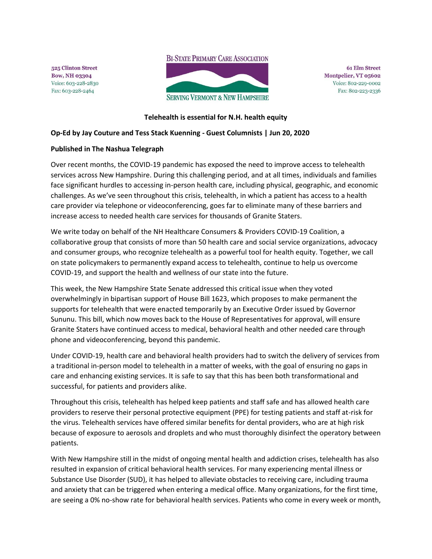**BI-STATE PRIMARY CARE ASSOCIATION** 

525 Clinton Street **Bow, NH 03304** Voice: 603-228-2830 Fax: 603-228-2464



**61 Elm Street** Montpelier, VT 05602 Voice: 802-229-0002 Fax: 802-223-2336

## **Telehealth is essential for N.H. health equity**

## **Op-Ed by Jay Couture and Tess Stack Kuenning - Guest Columnists | Jun 20, 2020**

## **Published in The Nashua Telegraph**

Over recent months, the COVID-19 pandemic has exposed the need to improve access to telehealth services across New Hampshire. During this challenging period, and at all times, individuals and families face significant hurdles to accessing in-person health care, including physical, geographic, and economic challenges. As we've seen throughout this crisis, telehealth, in which a patient has access to a health care provider via telephone or videoconferencing, goes far to eliminate many of these barriers and increase access to needed health care services for thousands of Granite Staters.

We write today on behalf of the NH Healthcare Consumers & Providers COVID-19 Coalition, a collaborative group that consists of more than 50 health care and social service organizations, advocacy and consumer groups, who recognize telehealth as a powerful tool for health equity. Together, we call on state policymakers to permanently expand access to telehealth, continue to help us overcome COVID-19, and support the health and wellness of our state into the future.

This week, the New Hampshire State Senate addressed this critical issue when they voted overwhelmingly in bipartisan support of House Bill 1623, which proposes to make permanent the supports for telehealth that were enacted temporarily by an Executive Order issued by Governor Sununu. This bill, which now moves back to the House of Representatives for approval, will ensure Granite Staters have continued access to medical, behavioral health and other needed care through phone and videoconferencing, beyond this pandemic.

Under COVID-19, health care and behavioral health providers had to switch the delivery of services from a traditional in-person model to telehealth in a matter of weeks, with the goal of ensuring no gaps in care and enhancing existing services. It is safe to say that this has been both transformational and successful, for patients and providers alike.

Throughout this crisis, telehealth has helped keep patients and staff safe and has allowed health care providers to reserve their personal protective equipment (PPE) for testing patients and staff at-risk for the virus. Telehealth services have offered similar benefits for dental providers, who are at high risk because of exposure to aerosols and droplets and who must thoroughly disinfect the operatory between patients.

With New Hampshire still in the midst of ongoing mental health and addiction crises, telehealth has also resulted in expansion of critical behavioral health services. For many experiencing mental illness or Substance Use Disorder (SUD), it has helped to alleviate obstacles to receiving care, including trauma and anxiety that can be triggered when entering a medical office. Many organizations, for the first time, are seeing a 0% no-show rate for behavioral health services. Patients who come in every week or month,